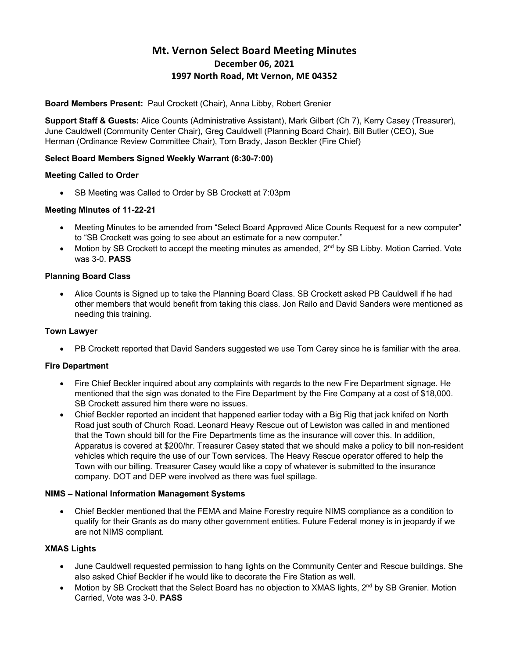# **Mt. Vernon Select Board Meeting Minutes December 06, 2021 1997 North Road, Mt Vernon, ME 04352**

# **Board Members Present:** Paul Crockett (Chair), Anna Libby, Robert Grenier

**Support Staff & Guests:** Alice Counts (Administrative Assistant), Mark Gilbert (Ch 7), Kerry Casey (Treasurer), June Cauldwell (Community Center Chair), Greg Cauldwell (Planning Board Chair), Bill Butler (CEO), Sue Herman (Ordinance Review Committee Chair), Tom Brady, Jason Beckler (Fire Chief)

# **Select Board Members Signed Weekly Warrant (6:30-7:00)**

# **Meeting Called to Order**

• SB Meeting was Called to Order by SB Crockett at 7:03pm

# **Meeting Minutes of 11-22-21**

- Meeting Minutes to be amended from "Select Board Approved Alice Counts Request for a new computer" to "SB Crockett was going to see about an estimate for a new computer."
- Motion by SB Crockett to accept the meeting minutes as amended, 2<sup>nd</sup> by SB Libby. Motion Carried. Vote was 3-0. **PASS**

# **Planning Board Class**

• Alice Counts is Signed up to take the Planning Board Class. SB Crockett asked PB Cauldwell if he had other members that would benefit from taking this class. Jon Railo and David Sanders were mentioned as needing this training.

# **Town Lawyer**

• PB Crockett reported that David Sanders suggested we use Tom Carey since he is familiar with the area.

# **Fire Department**

- Fire Chief Beckler inquired about any complaints with regards to the new Fire Department signage. He mentioned that the sign was donated to the Fire Department by the Fire Company at a cost of \$18,000. SB Crockett assured him there were no issues.
- Chief Beckler reported an incident that happened earlier today with a Big Rig that jack knifed on North Road just south of Church Road. Leonard Heavy Rescue out of Lewiston was called in and mentioned that the Town should bill for the Fire Departments time as the insurance will cover this. In addition, Apparatus is covered at \$200/hr. Treasurer Casey stated that we should make a policy to bill non-resident vehicles which require the use of our Town services. The Heavy Rescue operator offered to help the Town with our billing. Treasurer Casey would like a copy of whatever is submitted to the insurance company. DOT and DEP were involved as there was fuel spillage.

# **NIMS – National Information Management Systems**

• Chief Beckler mentioned that the FEMA and Maine Forestry require NIMS compliance as a condition to qualify for their Grants as do many other government entities. Future Federal money is in jeopardy if we are not NIMS compliant.

# **XMAS Lights**

- June Cauldwell requested permission to hang lights on the Community Center and Rescue buildings. She also asked Chief Beckler if he would like to decorate the Fire Station as well.
- Motion by SB Crockett that the Select Board has no objection to XMAS lights, 2<sup>nd</sup> by SB Grenier. Motion Carried, Vote was 3-0. **PASS**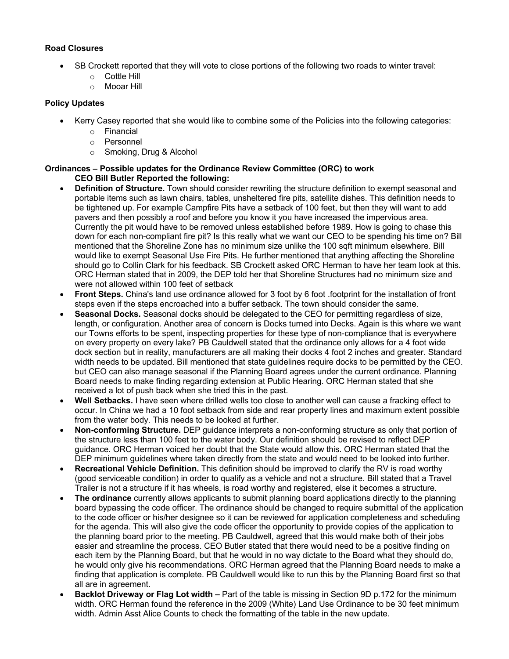# **Road Closures**

- SB Crockett reported that they will vote to close portions of the following two roads to winter travel:
	- o Cottle Hill
	- o Mooar Hill

### **Policy Updates**

- Kerry Casey reported that she would like to combine some of the Policies into the following categories:
	- o Financial
	- o Personnel
	- o Smoking, Drug & Alcohol

### **Ordinances – Possible updates for the Ordinance Review Committee (ORC) to work CEO Bill Butler Reported the following:**

- **Definition of Structure.** Town should consider rewriting the structure definition to exempt seasonal and portable items such as lawn chairs, tables, unsheltered fire pits, satellite dishes. This definition needs to be tightened up. For example Campfire Pits have a setback of 100 feet, but then they will want to add pavers and then possibly a roof and before you know it you have increased the impervious area. Currently the pit would have to be removed unless established before 1989. How is going to chase this down for each non-compliant fire pit? Is this really what we want our CEO to be spending his time on? Bill mentioned that the Shoreline Zone has no minimum size unlike the 100 sqft minimum elsewhere. Bill would like to exempt Seasonal Use Fire Pits. He further mentioned that anything affecting the Shoreline should go to Collin Clark for his feedback. SB Crockett asked ORC Herman to have her team look at this. ORC Herman stated that in 2009, the DEP told her that Shoreline Structures had no minimum size and were not allowed within 100 feet of setback
- **Front Steps.** China's land use ordinance allowed for 3 foot by 6 foot .footprint for the installation of front steps even if the steps encroached into a buffer setback. The town should consider the same.
- **Seasonal Docks.** Seasonal docks should be delegated to the CEO for permitting regardless of size, length, or configuration. Another area of concern is Docks turned into Decks. Again is this where we want our Towns efforts to be spent, inspecting properties for these type of non-compliance that is everywhere on every property on every lake? PB Cauldwell stated that the ordinance only allows for a 4 foot wide dock section but in reality, manufacturers are all making their docks 4 foot 2 inches and greater. Standard width needs to be updated. Bill mentioned that state guidelines require docks to be permitted by the CEO. but CEO can also manage seasonal if the Planning Board agrees under the current ordinance. Planning Board needs to make finding regarding extension at Public Hearing. ORC Herman stated that she received a lot of push back when she tried this in the past.
- **Well Setbacks.** I have seen where drilled wells too close to another well can cause a fracking effect to occur. In China we had a 10 foot setback from side and rear property lines and maximum extent possible from the water body. This needs to be looked at further.
- **Non-conforming Structure.** DEP guidance interprets a non-conforming structure as only that portion of the structure less than 100 feet to the water body. Our definition should be revised to reflect DEP guidance. ORC Herman voiced her doubt that the State would allow this. ORC Herman stated that the DEP minimum guidelines where taken directly from the state and would need to be looked into further.
- **Recreational Vehicle Definition.** This definition should be improved to clarify the RV is road worthy (good serviceable condition) in order to qualify as a vehicle and not a structure. Bill stated that a Travel Trailer is not a structure if it has wheels, is road worthy and registered, else it becomes a structure.
- **The ordinance** currently allows applicants to submit planning board applications directly to the planning board bypassing the code officer. The ordinance should be changed to require submittal of the application to the code officer or his/her designee so it can be reviewed for application completeness and scheduling for the agenda. This will also give the code officer the opportunity to provide copies of the application to the planning board prior to the meeting. PB Cauldwell, agreed that this would make both of their jobs easier and streamline the process. CEO Butler stated that there would need to be a positive finding on each item by the Planning Board, but that he would in no way dictate to the Board what they should do, he would only give his recommendations. ORC Herman agreed that the Planning Board needs to make a finding that application is complete. PB Cauldwell would like to run this by the Planning Board first so that all are in agreement.
- **Backlot Driveway or Flag Lot width –** Part of the table is missing in Section 9D p.172 for the minimum width. ORC Herman found the reference in the 2009 (White) Land Use Ordinance to be 30 feet minimum width. Admin Asst Alice Counts to check the formatting of the table in the new update.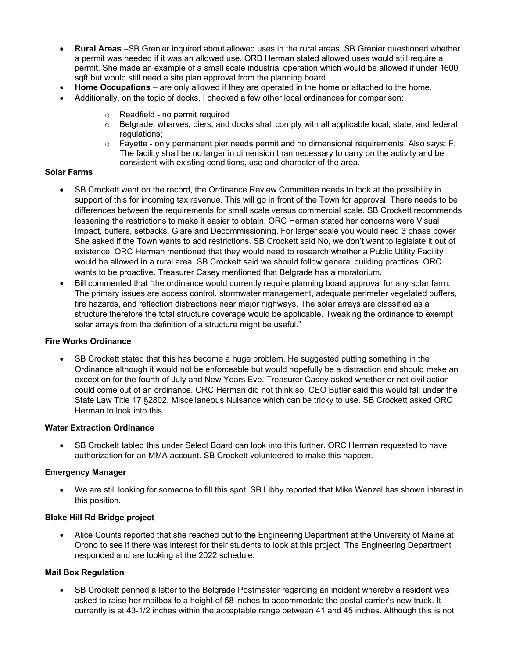- **Rural Areas** –SB Grenier inquired about allowed uses in the rural areas. SB Grenier questioned whether a permit was needed if it was an allowed use. ORB Herman stated allowed uses would still require a permit. She made an example of a small scale industrial operation which would be allowed if under 1600 sqft but would still need a site plan approval from the planning board.
- **Home Occupations** are only allowed if they are operated in the home or attached to the home.
- Additionally, on the topic of docks, I checked a few other local ordinances for comparison:
	- o Readfield no permit required
	- $\circ$  Belgrade: wharves, piers, and docks shall comply with all applicable local, state, and federal regulations;
	- o Fayette only permanent pier needs permit and no dimensional requirements. Also says: F: The facility shall be no larger in dimension than necessary to carry on the activity and be consistent with existing conditions, use and character of the area.

#### **Solar Farms**

- SB Crockett went on the record, the Ordinance Review Committee needs to look at the possibility in support of this for incoming tax revenue. This will go in front of the Town for approval. There needs to be differences between the requirements for small scale versus commercial scale. SB Crockett recommends lessening the restrictions to make it easier to obtain. ORC Herman stated her concerns were Visual Impact, buffers, setbacks, Glare and Decommissioning. For larger scale you would need 3 phase power She asked if the Town wants to add restrictions. SB Crockett said No, we don't want to legislate it out of existence. ORC Herman mentioned that they would need to research whether a Public Utility Facility would be allowed in a rural area. SB Crockett said we should follow general building practices. ORC wants to be proactive. Treasurer Casey mentioned that Belgrade has a moratorium.
- Bill commented that "the ordinance would currently require planning board approval for any solar farm. The primary issues are access control, stormwater management, adequate perimeter vegetated buffers, fire hazards, and reflection distractions near major highways. The solar arrays are classified as a structure therefore the total structure coverage would be applicable. Tweaking the ordinance to exempt solar arrays from the definition of a structure might be useful."

#### **Fire Works Ordinance**

• SB Crockett stated that this has become a huge problem. He suggested putting something in the Ordinance although it would not be enforceable but would hopefully be a distraction and should make an exception for the fourth of July and New Years Eve. Treasurer Casey asked whether or not civil action could come out of an ordinance. ORC Herman did not think so. CEO Butler said this would fall under the State Law Title 17 §2802, Miscellaneous Nuisance which can be tricky to use. SB Crockett asked ORC Herman to look into this.

### **Water Extraction Ordinance**

• SB Crockett tabled this under Select Board can look into this further. ORC Herman requested to have authorization for an MMA account. SB Crockett volunteered to make this happen.

#### **Emergency Manager**

• We are still looking for someone to fill this spot. SB Libby reported that Mike Wenzel has shown interest in this position.

### **Blake Hill Rd Bridge project**

• Alice Counts reported that she reached out to the Engineering Department at the University of Maine at Orono to see if there was interest for their students to look at this project. The Engineering Department responded and are looking at the 2022 schedule.

#### **Mail Box Regulation**

• SB Crockett penned a letter to the Belgrade Postmaster regarding an incident whereby a resident was asked to raise her mailbox to a height of 58 inches to accommodate the postal carrier's new truck. It currently is at 43-1/2 inches within the acceptable range between 41 and 45 inches. Although this is not